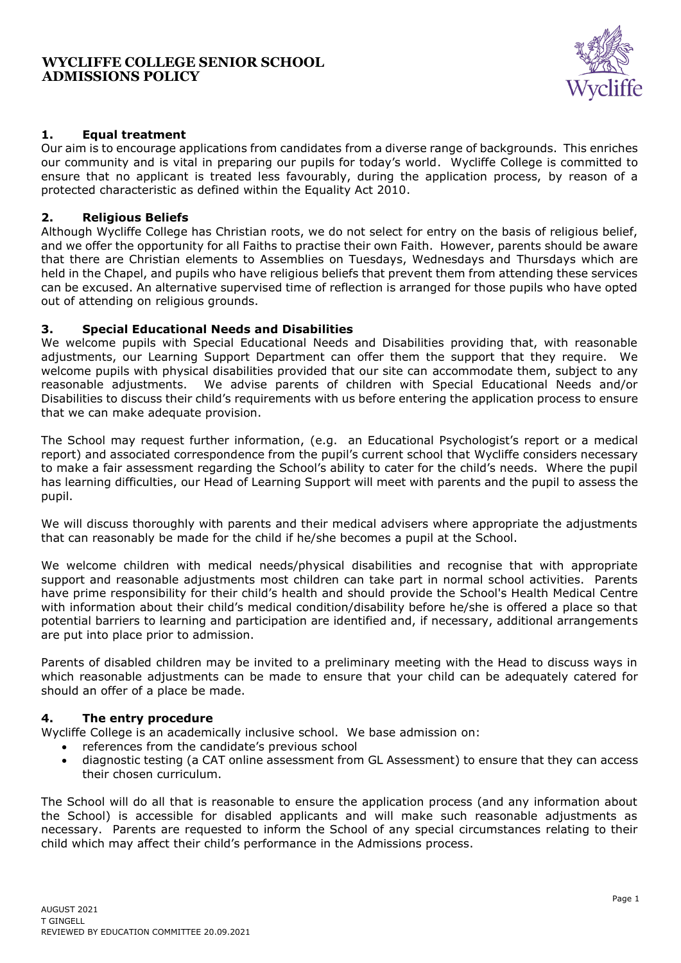## **WYCLIFFE COLLEGE SENIOR SCHOOL ADMISSIONS POLICY**



# **1. Equal treatment**

Our aim is to encourage applications from candidates from a diverse range of backgrounds. This enriches our community and is vital in preparing our pupils for today's world. Wycliffe College is committed to ensure that no applicant is treated less favourably, during the application process, by reason of a protected characteristic as defined within the Equality Act 2010.

# **2. Religious Beliefs**

Although Wycliffe College has Christian roots, we do not select for entry on the basis of religious belief, and we offer the opportunity for all Faiths to practise their own Faith. However, parents should be aware that there are Christian elements to Assemblies on Tuesdays, Wednesdays and Thursdays which are held in the Chapel, and pupils who have religious beliefs that prevent them from attending these services can be excused. An alternative supervised time of reflection is arranged for those pupils who have opted out of attending on religious grounds.

# **3. Special Educational Needs and Disabilities**

We welcome pupils with Special Educational Needs and Disabilities providing that, with reasonable adjustments, our Learning Support Department can offer them the support that they require. We welcome pupils with physical disabilities provided that our site can accommodate them, subject to any reasonable adjustments. We advise parents of children with Special Educational Needs and/or Disabilities to discuss their child's requirements with us before entering the application process to ensure that we can make adequate provision.

The School may request further information, (e.g. an Educational Psychologist's report or a medical report) and associated correspondence from the pupil's current school that Wycliffe considers necessary to make a fair assessment regarding the School's ability to cater for the child's needs. Where the pupil has learning difficulties, our Head of Learning Support will meet with parents and the pupil to assess the pupil.

We will discuss thoroughly with parents and their medical advisers where appropriate the adjustments that can reasonably be made for the child if he/she becomes a pupil at the School.

We welcome children with medical needs/physical disabilities and recognise that with appropriate support and reasonable adjustments most children can take part in normal school activities. Parents have prime responsibility for their child's health and should provide the School's Health Medical Centre with information about their child's medical condition/disability before he/she is offered a place so that potential barriers to learning and participation are identified and, if necessary, additional arrangements are put into place prior to admission.

Parents of disabled children may be invited to a preliminary meeting with the Head to discuss ways in which reasonable adjustments can be made to ensure that your child can be adequately catered for should an offer of a place be made.

#### **4. The entry procedure**

Wycliffe College is an academically inclusive school. We base admission on:

- references from the candidate's previous school
- diagnostic testing (a CAT online assessment from GL Assessment) to ensure that they can access their chosen curriculum.

The School will do all that is reasonable to ensure the application process (and any information about the School) is accessible for disabled applicants and will make such reasonable adjustments as necessary. Parents are requested to inform the School of any special circumstances relating to their child which may affect their child's performance in the Admissions process.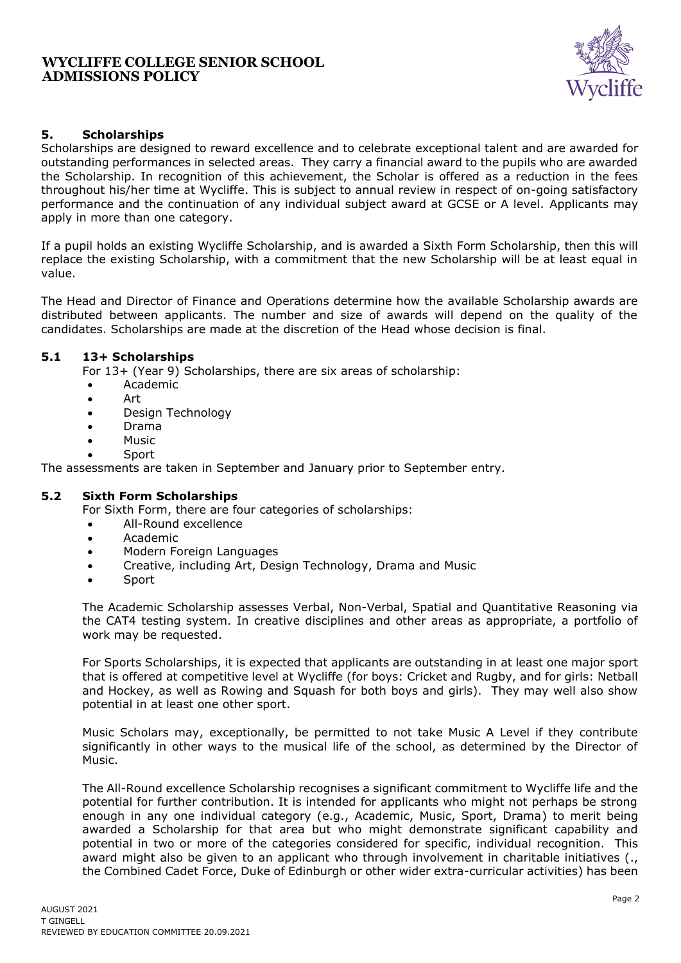## **WYCLIFFE COLLEGE SENIOR SCHOOL ADMISSIONS POLICY**



## **5. Scholarships**

Scholarships are designed to reward excellence and to celebrate exceptional talent and are awarded for outstanding performances in selected areas. They carry a financial award to the pupils who are awarded the Scholarship. In recognition of this achievement, the Scholar is offered as a reduction in the fees throughout his/her time at Wycliffe. This is subject to annual review in respect of on-going satisfactory performance and the continuation of any individual subject award at GCSE or A level. Applicants may apply in more than one category.

If a pupil holds an existing Wycliffe Scholarship, and is awarded a Sixth Form Scholarship, then this will replace the existing Scholarship, with a commitment that the new Scholarship will be at least equal in value.

The Head and Director of Finance and Operations determine how the available Scholarship awards are distributed between applicants. The number and size of awards will depend on the quality of the candidates. Scholarships are made at the discretion of the Head whose decision is final.

#### **5.1 13+ Scholarships**

For 13+ (Year 9) Scholarships, there are six areas of scholarship:

- Academic
- Art
- Design Technology
- Drama
- Music
- Sport

The assessments are taken in September and January prior to September entry.

#### **5.2 Sixth Form Scholarships**

For Sixth Form, there are four categories of scholarships:

- All-Round excellence
- Academic
- Modern Foreign Languages
- Creative, including Art, Design Technology, Drama and Music
- **Sport**

The Academic Scholarship assesses Verbal, Non-Verbal, Spatial and Quantitative Reasoning via the CAT4 testing system. In creative disciplines and other areas as appropriate, a portfolio of work may be requested.

For Sports Scholarships, it is expected that applicants are outstanding in at least one major sport that is offered at competitive level at Wycliffe (for boys: Cricket and Rugby, and for girls: Netball and Hockey, as well as Rowing and Squash for both boys and girls). They may well also show potential in at least one other sport.

Music Scholars may, exceptionally, be permitted to not take Music A Level if they contribute significantly in other ways to the musical life of the school, as determined by the Director of Music.

The All-Round excellence Scholarship recognises a significant commitment to Wycliffe life and the potential for further contribution. It is intended for applicants who might not perhaps be strong enough in any one individual category (e.g., Academic, Music, Sport, Drama) to merit being awarded a Scholarship for that area but who might demonstrate significant capability and potential in two or more of the categories considered for specific, individual recognition. This award might also be given to an applicant who through involvement in charitable initiatives (.. the Combined Cadet Force, Duke of Edinburgh or other wider extra-curricular activities) has been